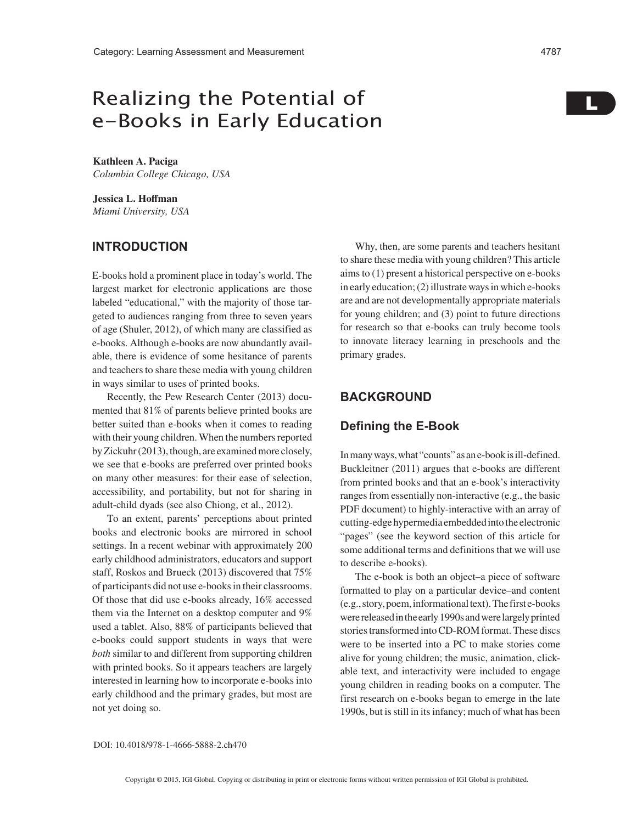# Realizing the Potential of e-Books in Early Education

**Kathleen A. Paciga** *Columbia College Chicago, USA*

**Jessica L. Hoffman** *Miami University, USA*

## **INTRODUCTION**

E-books hold a prominent place in today's world. The largest market for electronic applications are those labeled "educational," with the majority of those targeted to audiences ranging from three to seven years of age (Shuler, 2012), of which many are classified as e-books. Although e-books are now abundantly available, there is evidence of some hesitance of parents and teachers to share these media with young children in ways similar to uses of printed books.

Recently, the Pew Research Center (2013) documented that 81% of parents believe printed books are better suited than e-books when it comes to reading with their young children. When the numbers reported by Zickuhr (2013), though, are examined more closely, we see that e-books are preferred over printed books on many other measures: for their ease of selection, accessibility, and portability, but not for sharing in adult-child dyads (see also Chiong, et al., 2012).

To an extent, parents' perceptions about printed books and electronic books are mirrored in school settings. In a recent webinar with approximately 200 early childhood administrators, educators and support staff, Roskos and Brueck (2013) discovered that 75% of participants did not use e-books in their classrooms. Of those that did use e-books already, 16% accessed them via the Internet on a desktop computer and 9% used a tablet. Also, 88% of participants believed that e-books could support students in ways that were *both* similar to and different from supporting children with printed books. So it appears teachers are largely interested in learning how to incorporate e-books into early childhood and the primary grades, but most are not yet doing so.

Why, then, are some parents and teachers hesitant to share these media with young children? This article aims to (1) present a historical perspective on e-books in early education; (2) illustrate ways in which e-books are and are not developmentally appropriate materials for young children; and (3) point to future directions for research so that e-books can truly become tools to innovate literacy learning in preschools and the primary grades.

### **BACKGROUND**

### **Defining the E-Book**

In many ways, what "counts" as an e-book is ill-defined. Buckleitner (2011) argues that e-books are different from printed books and that an e-book's interactivity ranges from essentially non-interactive (e.g., the basic PDF document) to highly-interactive with an array of cutting-edge hypermedia embedded into the electronic "pages" (see the keyword section of this article for some additional terms and definitions that we will use to describe e-books).

The e-book is both an object–a piece of software formatted to play on a particular device–and content (e.g., story, poem, informational text). The first e-books were released in the early 1990s and were largely printed stories transformed into CD-ROM format. These discs were to be inserted into a PC to make stories come alive for young children; the music, animation, clickable text, and interactivity were included to engage young children in reading books on a computer. The first research on e-books began to emerge in the late 1990s, but is still in its infancy; much of what has been

#### DOI: 10.4018/978-1-4666-5888-2.ch470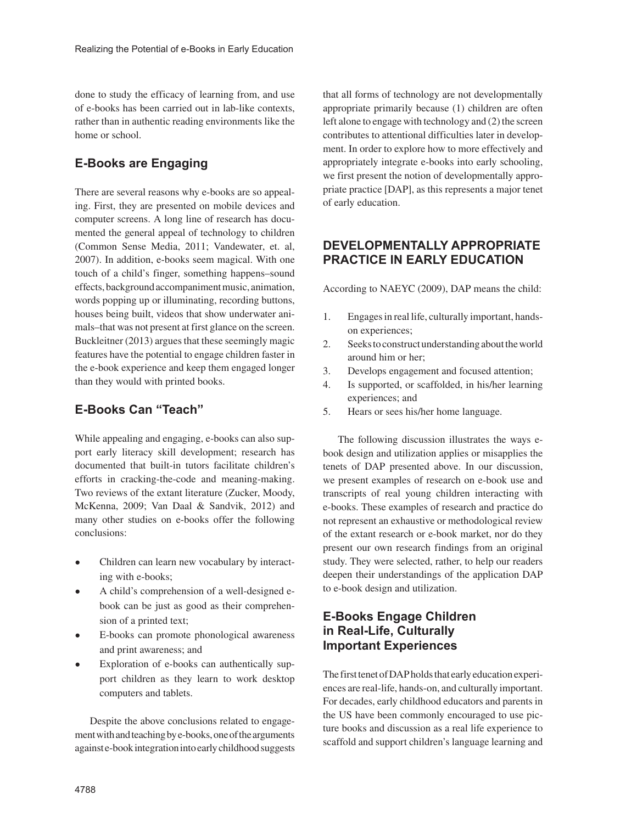done to study the efficacy of learning from, and use of e-books has been carried out in lab-like contexts, rather than in authentic reading environments like the home or school.

# **E-Books are Engaging**

There are several reasons why e-books are so appealing. First, they are presented on mobile devices and computer screens. A long line of research has documented the general appeal of technology to children (Common Sense Media, 2011; Vandewater, et. al, 2007). In addition, e-books seem magical. With one touch of a child's finger, something happens–sound effects, background accompaniment music, animation, words popping up or illuminating, recording buttons, houses being built, videos that show underwater animals–that was not present at first glance on the screen. Buckleitner (2013) argues that these seemingly magic features have the potential to engage children faster in the e-book experience and keep them engaged longer than they would with printed books.

## **E-Books Can "Teach"**

While appealing and engaging, e-books can also support early literacy skill development; research has documented that built-in tutors facilitate children's efforts in cracking-the-code and meaning-making. Two reviews of the extant literature (Zucker, Moody, McKenna, 2009; Van Daal & Sandvik, 2012) and many other studies on e-books offer the following conclusions:

- Children can learn new vocabulary by interacting with e-books;
- A child's comprehension of a well-designed ebook can be just as good as their comprehension of a printed text;
- E-books can promote phonological awareness and print awareness; and
- Exploration of e-books can authentically support children as they learn to work desktop computers and tablets.

Despite the above conclusions related to engagement with and teaching by e-books, one of the arguments against e-book integration into early childhood suggests that all forms of technology are not developmentally appropriate primarily because (1) children are often left alone to engage with technology and (2) the screen contributes to attentional difficulties later in development. In order to explore how to more effectively and appropriately integrate e-books into early schooling, we first present the notion of developmentally appropriate practice [DAP], as this represents a major tenet of early education.

# **DEVELOPMENTALLY APPROPRIATE PRACTICE IN EARLY EDUCATION**

According to NAEYC (2009), DAP means the child:

- 1. Engages in real life, culturally important, handson experiences;
- 2. Seeks to construct understanding about the world around him or her;
- 3. Develops engagement and focused attention;
- 4. Is supported, or scaffolded, in his/her learning experiences; and
- 5. Hears or sees his/her home language.

The following discussion illustrates the ways ebook design and utilization applies or misapplies the tenets of DAP presented above. In our discussion, we present examples of research on e-book use and transcripts of real young children interacting with e-books. These examples of research and practice do not represent an exhaustive or methodological review of the extant research or e-book market, nor do they present our own research findings from an original study. They were selected, rather, to help our readers deepen their understandings of the application DAP to e-book design and utilization.

# **E-Books Engage Children in Real-Life, Culturally Important Experiences**

The first tenet of DAP holds that early education experiences are real-life, hands-on, and culturally important. For decades, early childhood educators and parents in the US have been commonly encouraged to use picture books and discussion as a real life experience to scaffold and support children's language learning and